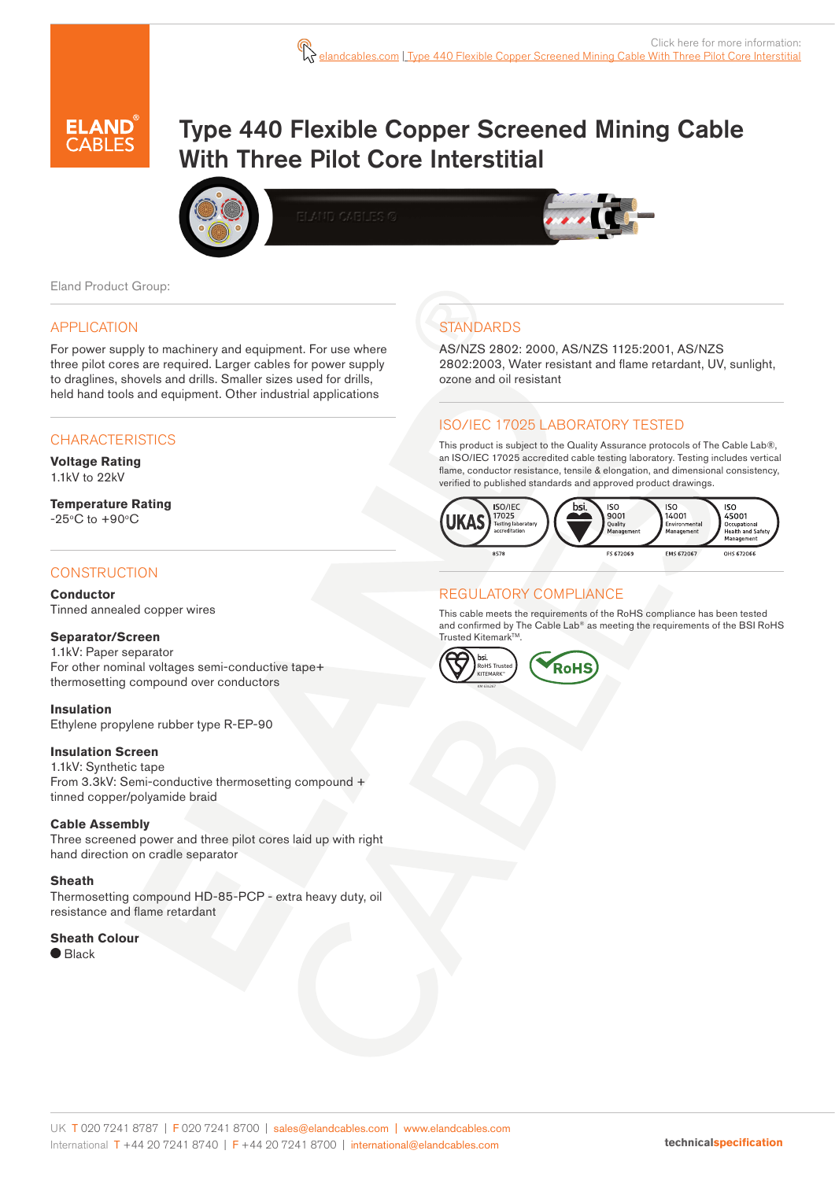

# Type 440 Flexible Copper Screened Mining Cable With Three Pilot Core Interstitial



Eland Product Group:

#### APPLICATION

For power supply to machinery and equipment. For use where three pilot cores are required. Larger cables for power supply to draglines, shovels and drills. Smaller sizes used for drills, held hand tools and equipment. Other industrial applications

#### **CHARACTERISTICS**

**Voltage Rating** 1.1kV to 22kV

**Temperature Rating**  $-25^{\circ}$ C to  $+90^{\circ}$ C

#### **CONSTRUCTION**

**Conductor** Tinned annealed copper wires

#### **Separator/Screen**

1.1kV: Paper separator For other nominal voltages semi-conductive tape+ thermosetting compound over conductors

#### **Insulation**

Ethylene propylene rubber type R-EP-90

#### **Insulation Screen**

1.1kV: Synthetic tape From 3.3kV: Semi-conductive thermosetting compound + tinned copper/polyamide braid

#### **Cable Assembly**

Three screened power and three pilot cores laid up with right hand direction on cradle separator

#### **Sheath**

Thermosetting compound HD-85-PCP - extra heavy duty, oil resistance and flame retardant

### **Sheath Colour**

 $\bullet$  Black

# **STANDARDS**

AS/NZS 2802: 2000, AS/NZS 1125:2001, AS/NZS 2802:2003, Water resistant and flame retardant, UV, sunlight, ozone and oil resistant

#### ISO/IEC 17025 LABORATORY TESTED

This product is subject to the Quality Assurance protocols of The Cable Lab®, an ISO/IEC 17025 accredited cable testing laboratory. Testing includes vertical flame, conductor resistance, tensile & elongation, and dimensional consistency, verified to published standards and approved product drawings.



#### REGULATORY COMPLIANCE

This cable meets the requirements of the RoHS compliance has been tested and confirmed by The Cable Lab® as meeting the requirements of the BSI RoHS Trusted Kitemark™.